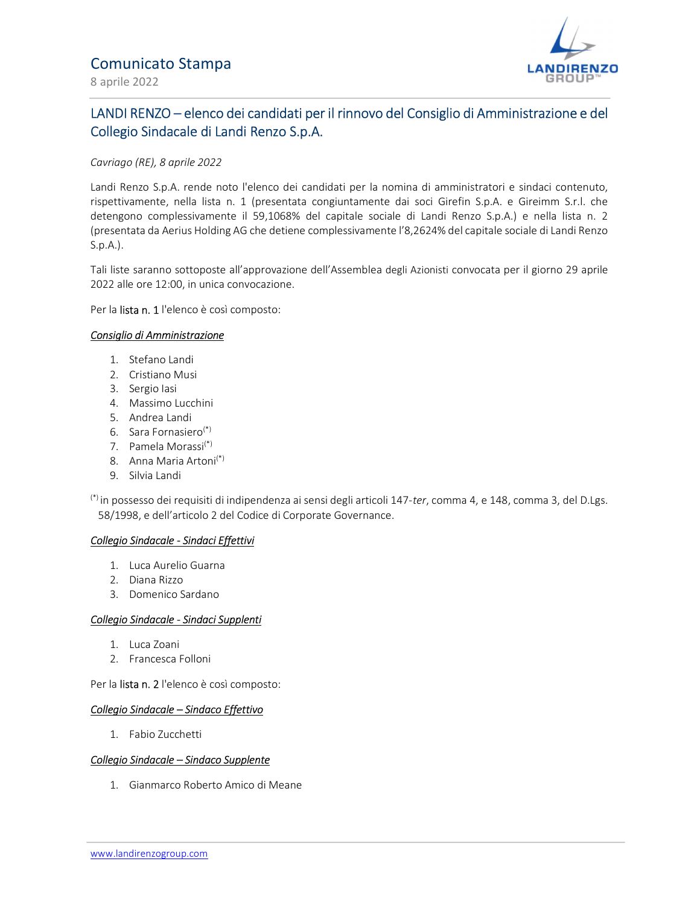

# LANDI RENZO – elenco dei candidati per il rinnovo del Consiglio di Amministrazione e del Collegio Sindacale di Landi Renzo S.p.A.

### Cavriago (RE), 8 aprile 2022

Landi Renzo S.p.A. rende noto l'elenco dei candidati per la nomina di amministratori e sindaci contenuto, rispettivamente, nella lista n. 1 (presentata congiuntamente dai soci Girefin S.p.A. e Gireimm S.r.l. che detengono complessivamente il 59,1068% del capitale sociale di Landi Renzo S.p.A.) e nella lista n. 2 (presentata da Aerius Holding AG che detiene complessivamente l'8,2624% del capitale sociale di Landi Renzo S.p.A.).

Tali liste saranno sottoposte all'approvazione dell'Assemblea degli Azionisti convocata per il giorno 29 aprile 2022 alle ore 12:00, in unica convocazione.

Per la lista n. 1 l'elenco è così composto:

### Consiglio di Amministrazione

- 1. Stefano Landi
- 2. Cristiano Musi
- 3. Sergio Iasi
- 4. Massimo Lucchini
- 5. Andrea Landi
- 6. Sara Fornasiero(\*)
- 7. Pamela Morassi(\*)
- 8. Anna Maria Artoni(\*)
- 9. Silvia Landi

 $(*)$  in possesso dei requisiti di indipendenza ai sensi degli articoli 147-ter, comma 4, e 148, comma 3, del D.Lgs. 58/1998, e dell'articolo 2 del Codice di Corporate Governance.

### Collegio Sindacale - Sindaci Effettivi

- 1. Luca Aurelio Guarna
- 2. Diana Rizzo
- 3. Domenico Sardano

### Collegio Sindacale - Sindaci Supplenti

- 1. Luca Zoani
- 2. Francesca Folloni

Per la lista n. 2 l'elenco è così composto:

### Collegio Sindacale – Sindaco Effettivo

1. Fabio Zucchetti

### Collegio Sindacale – Sindaco Supplente

1. Gianmarco Roberto Amico di Meane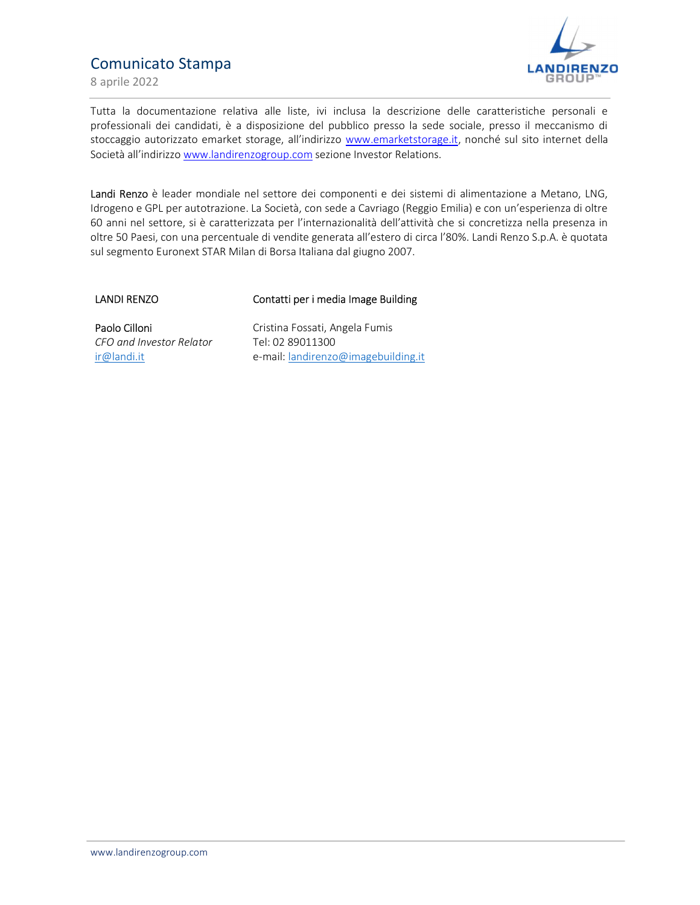# Comunicato Stampa

8 aprile 2022



Tutta la documentazione relativa alle liste, ivi inclusa la descrizione delle caratteristiche personali e professionali dei candidati, è a disposizione del pubblico presso la sede sociale, presso il meccanismo di stoccaggio autorizzato emarket storage, all'indirizzo www.emarketstorage.it, nonché sul sito internet della Società all'indirizzo www.landirenzogroup.com sezione Investor Relations.

Landi Renzo è leader mondiale nel settore dei componenti e dei sistemi di alimentazione a Metano, LNG, Idrogeno e GPL per autotrazione. La Società, con sede a Cavriago (Reggio Emilia) e con un'esperienza di oltre 60 anni nel settore, si è caratterizzata per l'internazionalità dell'attività che si concretizza nella presenza in oltre 50 Paesi, con una percentuale di vendite generata all'estero di circa l'80%. Landi Renzo S.p.A. è quotata sul segmento Euronext STAR Milan di Borsa Italiana dal giugno 2007.

LANDI RENZO

### Contatti per i media Image Building

Paolo Cilloni CFO and Investor Relator ir@landi.it

Cristina Fossati, Angela Fumis Tel: 02 89011300 e-mail: **landirenzo@imagebuilding.it**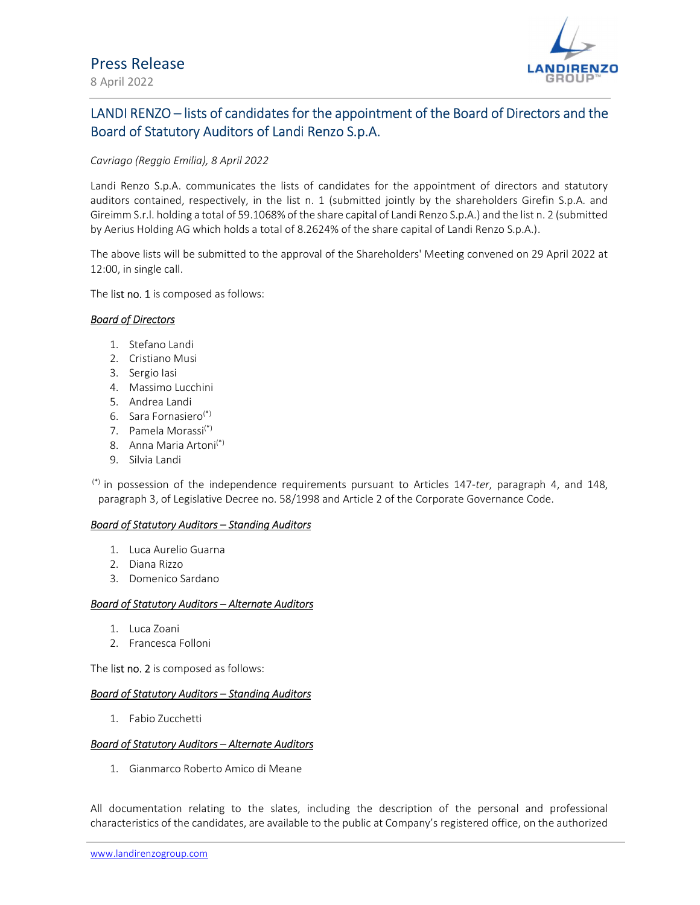

## 8 April 2022

# LANDI RENZO – lists of candidates for the appointment of the Board of Directors and the Board of Statutory Auditors of Landi Renzo S.p.A.

### Cavriago (Reggio Emilia), 8 April 2022

Landi Renzo S.p.A. communicates the lists of candidates for the appointment of directors and statutory auditors contained, respectively, in the list n. 1 (submitted jointly by the shareholders Girefin S.p.A. and Gireimm S.r.l. holding a total of 59.1068% of the share capital of Landi Renzo S.p.A.) and the list n. 2 (submitted by Aerius Holding AG which holds a total of 8.2624% of the share capital of Landi Renzo S.p.A.).

The above lists will be submitted to the approval of the Shareholders' Meeting convened on 29 April 2022 at 12:00, in single call.

The list no. 1 is composed as follows:

### Board of Directors

- 1. Stefano Landi
- 2. Cristiano Musi
- 3. Sergio Iasi
- 4. Massimo Lucchini
- 5. Andrea Landi
- 6. Sara Fornasiero(\*)
- 7. Pamela Morassi(\*)
- 8. Anna Maria Artoni<sup>(\*)</sup>
- 9. Silvia Landi

 $(*)$  in possession of the independence requirements pursuant to Articles 147-ter, paragraph 4, and 148, paragraph 3, of Legislative Decree no. 58/1998 and Article 2 of the Corporate Governance Code.

### Board of Statutory Auditors – Standing Auditors

- 1. Luca Aurelio Guarna
- 2. Diana Rizzo
- 3. Domenico Sardano

### Board of Statutory Auditors – Alternate Auditors

- 1. Luca Zoani
- 2. Francesca Folloni

The **list no. 2** is composed as follows:

### Board of Statutory Auditors – Standing Auditors

1. Fabio Zucchetti

### Board of Statutory Auditors – Alternate Auditors

1. Gianmarco Roberto Amico di Meane

All documentation relating to the slates, including the description of the personal and professional characteristics of the candidates, are available to the public at Company's registered office, on the authorized